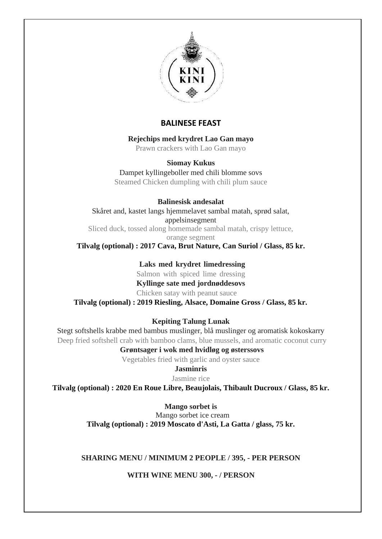

# **BALINESE FEAST**

**Rejechips med krydret Lao Gan mayo**

Prawn crackers with Lao Gan mayo

### **Siomay Kukus**

Dampet kyllingeboller med chili blomme sovs Steamed Chicken dumpling with chili plum sauce

**Balinesisk andesalat** Skåret and, kastet langs hjemmelavet sambal matah, sprød salat, appelsinsegment Sliced duck, tossed along homemade sambal matah, crispy lettuce, orange segment

**Tilvalg (optional) : 2017 Cava, Brut Nature, Can Suriol / Glass, 85 kr.**

**Laks med krydret limedressing** Salmon with spiced lime dressing **Kyllinge sate med jordnøddesovs** Chicken satay with peanut sauce **Tilvalg (optional) : 2019 Riesling, Alsace, Domaine Gross / Glass, 85 kr.**

**Kepiting Talung Lunak**

Stegt softshells krabbe med bambus muslinger, blå muslinger og aromatisk kokoskarry Deep fried softshell crab with bamboo clams, blue mussels, and aromatic coconut curry

**Grøntsager i wok med hvidløg og østerssovs** Vegetables fried with garlic and oyster sauce

**Jasminris**

Jasmine rice

**Tilvalg (optional) : 2020 En Roue Libre, Beaujolais, Thibault Ducroux / Glass, 85 kr.**

**Mango sorbet is** Mango sorbet ice cream **Tilvalg (optional) : 2019 Moscato d'Asti, La Gatta / glass, 75 kr.**

## **SHARING MENU / MINIMUM 2 PEOPLE / 395, - PER PERSON**

**WITH WINE MENU 300, - / PERSON**